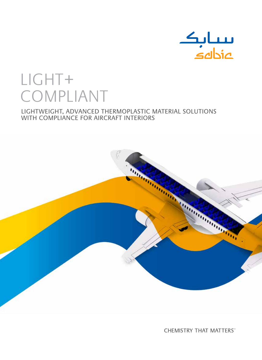

# LIGHT+ COMPLIANT

## LightWeight, advanced thermoplastic material solutions with compliance for aircraft interiors



**CHEMISTRY THAT MATTERS**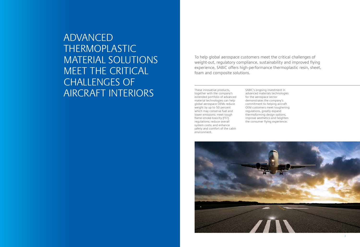

ADVANCED THERMOPLASTIC MATERIAL SOLUTIONS MEET THE CRITICAL CHALLENGES OF AIRCRAFT INTERIORS

To help global aerospace customers meet the critical challenges of weight-out, regulatory compliance, sustainability and improved flying experience, SABIC offers high-performance thermoplastic resin, sheet, foam and composite solutions.

These innovative products, together with the company's extended portfolio of advanced material technologies can help global aerospace OEMs reduce weight by up to 50 percent which may conserve fuel and lower emissions; meet tough flame-smoke-toxicity (FST) regulations; reduce overall system costs; and enhance safety and comfort of the cabin environment.

SABIC's ongoing investment in advanced materials technologies for the aerospace sector demonstrates the company's commitment to helping aircraft OEM customers meet toughening regulations, greatly expand thermoforming design options, improve aesthetics and heighten the consumer flying experience.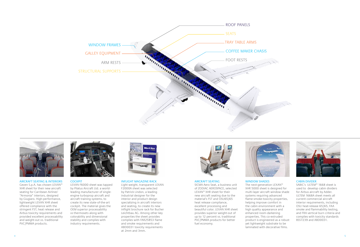





Aircraft Seating & Interiors Geven S.p.A. has chosen LEXAN™ XHR sheet for their new aircraft seating for Carribean Airlines' "Armonia" interiors, designed by Giugiaro. High-performance, lightweight LEXAN XHR sheet offered compliance with the stringent FST, heat release and Airbus toxicity requirements and provided excellent processability and weight-out vs. traditional PVC/PMMA products.



**COCKPIT** 

LEXAN F6000 sheet was tapped by Pilatus Aircraft Ltd. a worldleading manufacturer of singleengine turboprop aircraft and aircraft training systems, to create its new state-of-the-art cockpit. The material gives the OEM superior processability vs thermosets along with colorability and dimensional stability and complies with industry requirements.



Inflight Magazine Rack

Light weight, transparent LEXAN F2000A sheet was selected by Patrick Lindon, a leading industrial designer for the interior and product design specializing in aircraft interiors and seating, to create its new inflight brochure rack for Bucher Leichtbau AG. Among other key properties the sheet provides complies with FAR25853 flame and smoke requirements and ABD0031 toxicity requirements at 2mm and 3mm.



Aircraft Seating

SICMA Aero Seat, a business unit of ZODIAC AEROSPACE, selected LEXAN™ XHR sheet for their new aircraft seating due to the material's FST and OSU65/65 heat release compliance, excellent processing and beautiful color. LEXAN XHR sheet provides superior weight-out of up to 12 percent vs. traditional PVC/PMMA products for better fuel economy.



## WINDOW SHADES

The next-generation LEXAN™ XHR 5000 sheet is designed for multi-layer aircraft window shade systems requiring advanced flame-smoke-toxicity properties, helping improve comfort in the cabin environment with a high quality appearance and enhanced room-darkening properties. This co-extruded product is engineered as a robust yet lightweight substrate to be laminated with decorative films.

## Cabin Divider

SABIC's ULTEM™ 1668 sheet is used to develop cabin dividers for Airbus aircraft by Adder. ULTEM 1668A sheet meets all current commercial aircraft interior requirements, including OSU heat-release 65/65, FAA smoke and flammability testing, and FRA vertical burn criteria and complies with toxicity standards BSS7239 and ABD0031.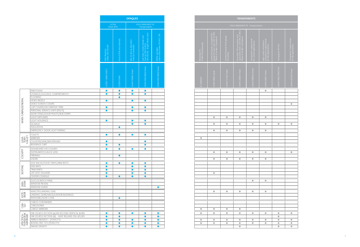| <b>OPAQUES</b>                              |                                                                                        |                                                  | <b>TRANSPARENTS</b>                  |                                                                                              |                                          |                                                                                              |                                                     |                                                                               |                        |                                                   |  |
|---------------------------------------------|----------------------------------------------------------------------------------------|--------------------------------------------------|--------------------------------------|----------------------------------------------------------------------------------------------|------------------------------------------|----------------------------------------------------------------------------------------------|-----------------------------------------------------|-------------------------------------------------------------------------------|------------------------|---------------------------------------------------|--|
| POLYCARBONATE FR<br>- Transportation        |                                                                                        |                                                  | POLYCARBONATE FR - Transportation    |                                                                                              |                                          |                                                                                              |                                                     |                                                                               |                        |                                                   |  |
| FAR 25.853 & ABD 0031<br>Toxicity Compliant | Low heat, smoke release and<br>Toxicity FAR 25.853,<br>OSU 65 /65   Bright White Color | White cap-layer<br>over a black base OSU 65 / 65 | Mirrorized FR<br>LEXAN Polycarbonate | General Purpose, uncoated thin<br>gauge FR Lexan with FAR 25.853<br>Flame & Smoke Complaince | General Purpose thick gauge<br>FR LLEXAN | Uncoated, FR transparent and<br>opal white sheet with FAR 25.853<br>Flame & Smoke Complaince | Transparent coated sheet<br>for curved applications | High scratch resistance,<br>transparent coated sheet<br>for flat applications | Transparent FR Film    | Transparent Coated sheet<br>for flat applications |  |
| LEXAN F6000 Sheet                           | LEXAN XHR 6000 Sheet                                                                   | LEXAN XHR 5000 Sheet                             | <b>IET MIRROR</b>                    | LEXAN 9600 sheet                                                                             | LEXAN F2100 Sheet                        | EXAN 2000A Sheet                                                                             | LEXAN FMR604 Sheet                                  | LEXAN MRAC Sheet                                                              | LEXAN FR60/FR65 Film   | LEXAN HL5FRA Sheet                                |  |
| $\bullet$<br>$\bullet$                      | $\bullet$<br>$\bullet$                                                                 |                                                  |                                      |                                                                                              |                                          |                                                                                              |                                                     | $\bullet$                                                                     |                        |                                                   |  |
| $\bullet$                                   | $\bullet$                                                                              |                                                  |                                      |                                                                                              |                                          |                                                                                              |                                                     |                                                                               |                        | $\bullet$                                         |  |
| $\bullet$<br>$\bullet$                      | $\bullet$<br>$\bullet$                                                                 |                                                  |                                      |                                                                                              |                                          |                                                                                              |                                                     |                                                                               |                        |                                                   |  |
|                                             |                                                                                        |                                                  |                                      | $\bullet$                                                                                    | $\bullet$                                | $\bullet$                                                                                    | $\bullet$                                           | $\bullet$                                                                     |                        |                                                   |  |
| $\bullet$                                   | $\bullet$                                                                              |                                                  |                                      |                                                                                              |                                          |                                                                                              |                                                     |                                                                               |                        |                                                   |  |
| $\bullet$                                   | $\bullet$                                                                              |                                                  |                                      | $\bullet$                                                                                    | $\bullet$                                | $\bullet$                                                                                    | $\bullet$                                           | $\bullet$                                                                     | $\bullet$              | $\bullet$                                         |  |
|                                             |                                                                                        |                                                  |                                      | $\bullet$                                                                                    | $\bullet$                                | $\bullet$                                                                                    | $\bullet$                                           | $\bullet$                                                                     |                        |                                                   |  |
| $\bullet$                                   | $\bullet$                                                                              |                                                  |                                      |                                                                                              |                                          |                                                                                              |                                                     |                                                                               |                        |                                                   |  |
|                                             | $\bullet$                                                                              |                                                  | $\bullet$                            |                                                                                              |                                          |                                                                                              |                                                     |                                                                               |                        |                                                   |  |
|                                             | $\bullet$                                                                              |                                                  |                                      |                                                                                              |                                          |                                                                                              |                                                     |                                                                               |                        |                                                   |  |
| $\bullet$                                   | $\bullet$                                                                              |                                                  |                                      | $\bullet$                                                                                    | $\bullet$                                | $\bullet$                                                                                    | $\bullet$                                           | $\bullet$                                                                     |                        | $\bullet$                                         |  |
|                                             |                                                                                        |                                                  |                                      |                                                                                              |                                          |                                                                                              |                                                     |                                                                               |                        |                                                   |  |
| $\bullet$                                   | $\bullet$                                                                              |                                                  |                                      | $\bullet$                                                                                    | $\bullet$                                | $\bullet$                                                                                    | $\bullet$                                           | $\bullet$                                                                     |                        |                                                   |  |
| $\bullet$                                   | $\bullet$                                                                              |                                                  |                                      |                                                                                              |                                          |                                                                                              |                                                     |                                                                               |                        |                                                   |  |
| $\bullet$<br>$\bullet$                      | $\bullet$<br>$\bullet$                                                                 |                                                  |                                      | $\bullet$                                                                                    |                                          |                                                                                              |                                                     |                                                                               |                        |                                                   |  |
| $\bullet$                                   | $\bullet$                                                                              |                                                  |                                      |                                                                                              |                                          |                                                                                              |                                                     |                                                                               |                        |                                                   |  |
|                                             |                                                                                        |                                                  |                                      |                                                                                              |                                          |                                                                                              | $\bullet$                                           | $\bullet$                                                                     |                        |                                                   |  |
|                                             |                                                                                        | $\bullet$                                        |                                      |                                                                                              |                                          |                                                                                              |                                                     |                                                                               |                        |                                                   |  |
|                                             |                                                                                        |                                                  |                                      | $\bullet$                                                                                    | $\bullet$                                | $\bullet$                                                                                    | $\bullet$                                           | $\bullet$                                                                     |                        |                                                   |  |
|                                             |                                                                                        |                                                  |                                      |                                                                                              |                                          |                                                                                              |                                                     |                                                                               |                        |                                                   |  |
|                                             |                                                                                        |                                                  |                                      |                                                                                              |                                          |                                                                                              |                                                     |                                                                               |                        |                                                   |  |
|                                             |                                                                                        |                                                  | $\bullet$                            | $\bullet$                                                                                    | $\bullet$                                | $\bullet$                                                                                    |                                                     |                                                                               |                        |                                                   |  |
| $\bullet$                                   | $\bullet$                                                                              | $\bullet$                                        | $\bullet$                            | $\bullet$                                                                                    | $\bullet$                                | $\bullet$                                                                                    | $\bullet$                                           | $\bullet$                                                                     | $\bullet$              | $\bullet$                                         |  |
| $\bullet$                                   | $\bullet$<br>$\bullet$                                                                 | $\bullet$<br>$\bullet$                           | $\bullet$                            | $\bullet$                                                                                    | $\bullet$                                | $\bullet$                                                                                    | $\bullet$                                           | $\bullet$                                                                     | $\bullet$<br>$\bullet$ | $\bullet$                                         |  |
| $\bullet$                                   | $\bullet$                                                                              | $\bullet$                                        | $\bullet$                            | $\bullet$                                                                                    | $\bullet$                                | $\bullet$                                                                                    | $\bullet$                                           | $\bullet$                                                                     | $\bullet$              | $\bullet$                                         |  |
| $\bullet$                                   | $\bullet$                                                                              | $\bullet$                                        |                                      |                                                                                              |                                          | $\bullet$                                                                                    |                                                     |                                                                               | $\bullet$              | $\bullet$                                         |  |

|                                     |                                                                                                                                                                                                                                                                                                                                                       | <b>OPAQUES</b>                                                |                                                               |                                                       |                                                                                                               |                                                  |  |
|-------------------------------------|-------------------------------------------------------------------------------------------------------------------------------------------------------------------------------------------------------------------------------------------------------------------------------------------------------------------------------------------------------|---------------------------------------------------------------|---------------------------------------------------------------|-------------------------------------------------------|---------------------------------------------------------------------------------------------------------------|--------------------------------------------------|--|
|                                     |                                                                                                                                                                                                                                                                                                                                                       | Sheet (PEI)                                                   | <b>ULTEM</b>                                                  | POLYCARBONATE FR<br>- Transportation                  |                                                                                                               |                                                  |  |
|                                     |                                                                                                                                                                                                                                                                                                                                                       | High Modulus<br>meets OSU 65/65                               | Pure ULTEM resin foamed                                       | FAR 25.853 & ABD 0031<br><b>Toxicity Compliant</b>    | <b>Bright White Color</b><br>Low heat, smoke release and<br>Toxicity FAR 25.853,<br>OSU 65/65 Bright White Co | White cap-layer<br>over a black base OSU 65 / 65 |  |
|                                     |                                                                                                                                                                                                                                                                                                                                                       | ULTEM 1668A SHEET                                             | ULTEM FOAM                                                    | LEXAN F6000 Sheet                                     | LEXAN XHR 6000 Sheet                                                                                          | LEXAN XHR 5000 Sheet                             |  |
| <b>MAIN CABIN/GENERAL</b>           | <b>PARTITIONS</b><br>STORAGE/LUGGAGE COMPARTMENTS<br><b>FLOORING</b><br><b>VIDEO BEZELS</b><br><b>VIDEO SCREEN COVERS</b><br><b>GAP COVERS/DECORATIVE TRIM</b><br>PERSONAL SERVICE UNITS (PSU'S)<br>WEAR ITEMS / DOOR PIVOTS / RUB STRIPS<br>LIGHT DIFFUSERS<br>LIGHT HOUSINGS<br>SIGNAGE<br><b>INSULATION</b><br><b>EMERGENCY DOOR LIGHT FAIRING</b> | $\bullet$<br>$\bullet$<br>●<br>●<br>$\bullet$<br>$\bullet$    | $\bullet$<br>O<br>0                                           | $\bullet$<br>●<br>●<br>0<br>0<br>O                    | 0<br>e<br>m<br>●<br>$\bullet$<br>o<br>o                                                                       |                                                  |  |
| LAVA-<br>TORY<br>GALLEY             | <b>TOILETS</b><br><b>MIRRORS</b><br>COUNTER/SINK/BACKSPLASH<br><b>BEVERAGE CART</b>                                                                                                                                                                                                                                                                   | $\bullet$<br>$\bullet$<br>●                                   | $\bullet$<br>$\bullet$                                        | $\bullet$                                             | $\bullet$<br>o                                                                                                |                                                  |  |
| COCKPIT                             | DASHBOARD ENCLOSURES<br>INSTRUMENT / GAUGE LENS<br><b>FIREWALL</b><br><b>VISORS</b>                                                                                                                                                                                                                                                                   | $\bullet$                                                     | $\bullet$<br>$\bullet$                                        | $\bullet$                                             | $\bullet$                                                                                                     |                                                  |  |
| SEATING                             | SEAT BACKS/FOOD TRAYS/ARM RESTS<br><b>END BAYS</b><br>TRIM PARTS<br>LIFE VEST HOLDERS<br><b>CENTER CONSOLE</b>                                                                                                                                                                                                                                        | $\bullet$<br>$\bullet$<br>●<br>$\bullet$<br>$\bullet$         | $\bullet$<br>$\bullet$                                        | $\bullet$<br>$\bullet$<br>$\bullet$<br>0<br>$\bullet$ | $\bullet$<br>0<br>×<br>●                                                                                      |                                                  |  |
| WIN-<br>DOW                         | DUST/SCRATCH PANE<br><b>WINDOW REVEAL</b><br><b>WINDOW SHADE</b>                                                                                                                                                                                                                                                                                      |                                                               |                                                               |                                                       |                                                                                                               | $\bullet$                                        |  |
| EXTE-<br>RIOR                       | WINGTIP/LANDING LENS<br>LANDING GEAR/NACELE/DOOR BUSHINGS<br>RAYDOME / NOSE CONE                                                                                                                                                                                                                                                                      |                                                               | $\bullet$                                                     |                                                       |                                                                                                               |                                                  |  |
| GO <sub>C</sub>                     | CARGO CONTAINERS<br>CARGOLINER<br>CARGO MIRRORS                                                                                                                                                                                                                                                                                                       |                                                               |                                                               |                                                       |                                                                                                               |                                                  |  |
| SPECIFICA-<br>TIONS/OEM<br>AIRFRAME | FAR 25.853 SECTION (a) 60 SECOND VERTICAL BURN<br>FAR 25.853 SECTION (d) HEAT RELEASE OSU 65/65<br>AIRBUS ABD0031 (TOXICITY)<br><b>BOEING BSS 723 (TOXICITY)</b><br>SMOKE DENSITY                                                                                                                                                                     | $\bullet$<br>$\bullet$<br>$\bullet$<br>$\bullet$<br>$\bullet$ | $\bullet$<br>$\bullet$<br>$\bullet$<br>$\bullet$<br>$\bullet$ | $\bullet$<br>$\bullet$<br>$\bullet$<br>$\bullet$      | ●<br>●<br>●<br>●<br>●                                                                                         | $\bullet$<br>$\bullet$<br>$\bullet$<br>$\bullet$ |  |